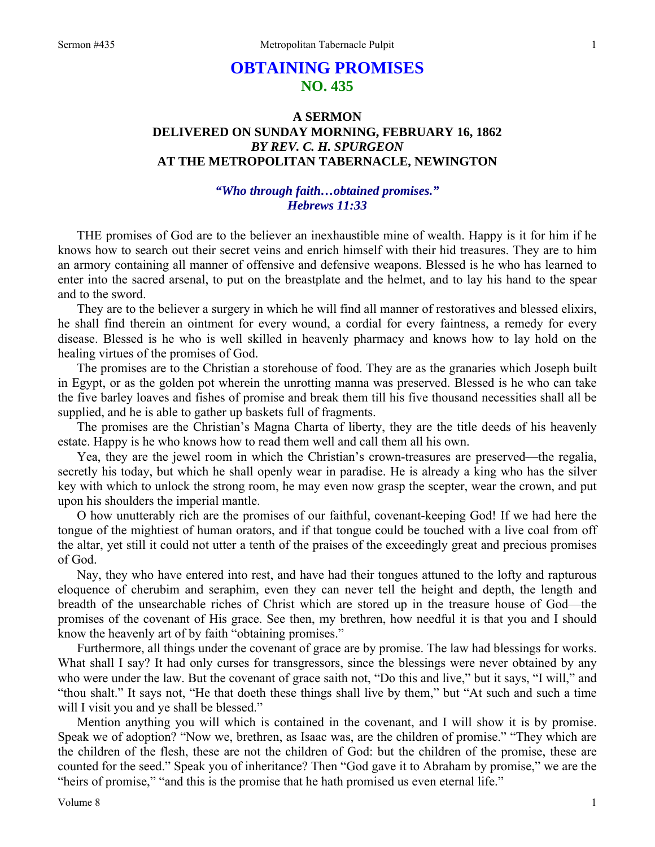# **OBTAINING PROMISES NO. 435**

## **A SERMON DELIVERED ON SUNDAY MORNING, FEBRUARY 16, 1862**  *BY REV. C. H. SPURGEON*  **AT THE METROPOLITAN TABERNACLE, NEWINGTON**

## *"Who through faith…obtained promises." Hebrews 11:33*

THE promises of God are to the believer an inexhaustible mine of wealth. Happy is it for him if he knows how to search out their secret veins and enrich himself with their hid treasures. They are to him an armory containing all manner of offensive and defensive weapons. Blessed is he who has learned to enter into the sacred arsenal, to put on the breastplate and the helmet, and to lay his hand to the spear and to the sword.

They are to the believer a surgery in which he will find all manner of restoratives and blessed elixirs, he shall find therein an ointment for every wound, a cordial for every faintness, a remedy for every disease. Blessed is he who is well skilled in heavenly pharmacy and knows how to lay hold on the healing virtues of the promises of God.

The promises are to the Christian a storehouse of food. They are as the granaries which Joseph built in Egypt, or as the golden pot wherein the unrotting manna was preserved. Blessed is he who can take the five barley loaves and fishes of promise and break them till his five thousand necessities shall all be supplied, and he is able to gather up baskets full of fragments.

The promises are the Christian's Magna Charta of liberty, they are the title deeds of his heavenly estate. Happy is he who knows how to read them well and call them all his own.

Yea, they are the jewel room in which the Christian's crown-treasures are preserved—the regalia, secretly his today, but which he shall openly wear in paradise. He is already a king who has the silver key with which to unlock the strong room, he may even now grasp the scepter, wear the crown, and put upon his shoulders the imperial mantle.

O how unutterably rich are the promises of our faithful, covenant-keeping God! If we had here the tongue of the mightiest of human orators, and if that tongue could be touched with a live coal from off the altar, yet still it could not utter a tenth of the praises of the exceedingly great and precious promises of God.

Nay, they who have entered into rest, and have had their tongues attuned to the lofty and rapturous eloquence of cherubim and seraphim, even they can never tell the height and depth, the length and breadth of the unsearchable riches of Christ which are stored up in the treasure house of God—the promises of the covenant of His grace. See then, my brethren, how needful it is that you and I should know the heavenly art of by faith "obtaining promises."

Furthermore, all things under the covenant of grace are by promise. The law had blessings for works. What shall I say? It had only curses for transgressors, since the blessings were never obtained by any who were under the law. But the covenant of grace saith not, "Do this and live," but it says, "I will," and "thou shalt." It says not, "He that doeth these things shall live by them," but "At such and such a time will I visit you and ye shall be blessed."

Mention anything you will which is contained in the covenant, and I will show it is by promise. Speak we of adoption? "Now we, brethren, as Isaac was, are the children of promise." "They which are the children of the flesh, these are not the children of God: but the children of the promise, these are counted for the seed." Speak you of inheritance? Then "God gave it to Abraham by promise," we are the "heirs of promise," "and this is the promise that he hath promised us even eternal life."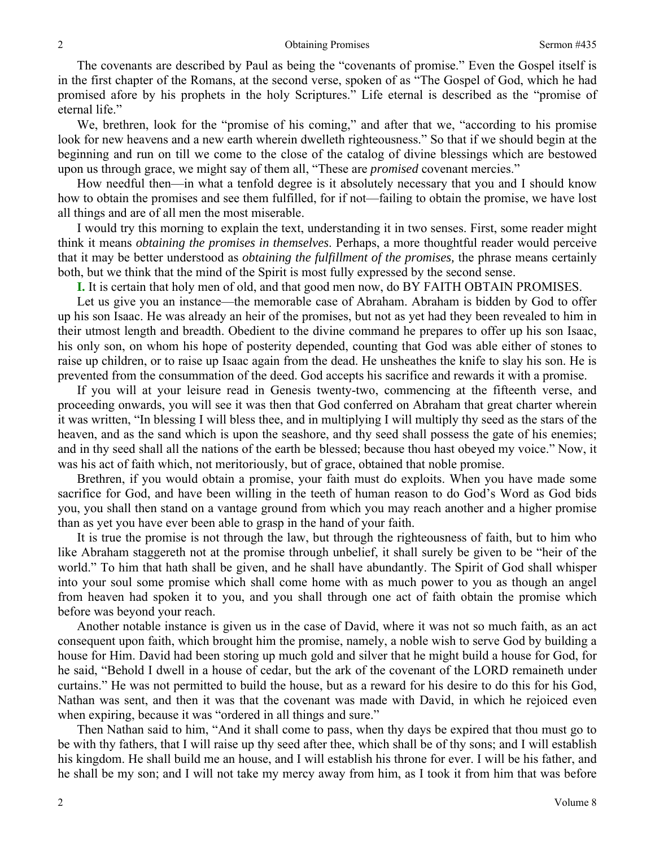The covenants are described by Paul as being the "covenants of promise." Even the Gospel itself is in the first chapter of the Romans, at the second verse, spoken of as "The Gospel of God, which he had promised afore by his prophets in the holy Scriptures." Life eternal is described as the "promise of eternal life."

We, brethren, look for the "promise of his coming," and after that we, "according to his promise look for new heavens and a new earth wherein dwelleth righteousness." So that if we should begin at the beginning and run on till we come to the close of the catalog of divine blessings which are bestowed upon us through grace, we might say of them all, "These are *promised* covenant mercies."

How needful then—in what a tenfold degree is it absolutely necessary that you and I should know how to obtain the promises and see them fulfilled, for if not—failing to obtain the promise, we have lost all things and are of all men the most miserable.

I would try this morning to explain the text, understanding it in two senses. First, some reader might think it means *obtaining the promises in themselves*. Perhaps, a more thoughtful reader would perceive that it may be better understood as *obtaining the fulfillment of the promises,* the phrase means certainly both, but we think that the mind of the Spirit is most fully expressed by the second sense.

**I.** It is certain that holy men of old, and that good men now, do BY FAITH OBTAIN PROMISES.

Let us give you an instance—the memorable case of Abraham. Abraham is bidden by God to offer up his son Isaac. He was already an heir of the promises, but not as yet had they been revealed to him in their utmost length and breadth. Obedient to the divine command he prepares to offer up his son Isaac, his only son, on whom his hope of posterity depended, counting that God was able either of stones to raise up children, or to raise up Isaac again from the dead. He unsheathes the knife to slay his son. He is prevented from the consummation of the deed. God accepts his sacrifice and rewards it with a promise.

If you will at your leisure read in Genesis twenty-two, commencing at the fifteenth verse, and proceeding onwards, you will see it was then that God conferred on Abraham that great charter wherein it was written, "In blessing I will bless thee, and in multiplying I will multiply thy seed as the stars of the heaven, and as the sand which is upon the seashore, and thy seed shall possess the gate of his enemies; and in thy seed shall all the nations of the earth be blessed; because thou hast obeyed my voice." Now, it was his act of faith which, not meritoriously, but of grace, obtained that noble promise.

Brethren, if you would obtain a promise, your faith must do exploits. When you have made some sacrifice for God, and have been willing in the teeth of human reason to do God's Word as God bids you, you shall then stand on a vantage ground from which you may reach another and a higher promise than as yet you have ever been able to grasp in the hand of your faith.

It is true the promise is not through the law, but through the righteousness of faith, but to him who like Abraham staggereth not at the promise through unbelief, it shall surely be given to be "heir of the world." To him that hath shall be given, and he shall have abundantly. The Spirit of God shall whisper into your soul some promise which shall come home with as much power to you as though an angel from heaven had spoken it to you, and you shall through one act of faith obtain the promise which before was beyond your reach.

Another notable instance is given us in the case of David, where it was not so much faith, as an act consequent upon faith, which brought him the promise, namely, a noble wish to serve God by building a house for Him. David had been storing up much gold and silver that he might build a house for God, for he said, "Behold I dwell in a house of cedar, but the ark of the covenant of the LORD remaineth under curtains." He was not permitted to build the house, but as a reward for his desire to do this for his God, Nathan was sent, and then it was that the covenant was made with David, in which he rejoiced even when expiring, because it was "ordered in all things and sure."

Then Nathan said to him, "And it shall come to pass, when thy days be expired that thou must go to be with thy fathers, that I will raise up thy seed after thee, which shall be of thy sons; and I will establish his kingdom. He shall build me an house, and I will establish his throne for ever. I will be his father, and he shall be my son; and I will not take my mercy away from him, as I took it from him that was before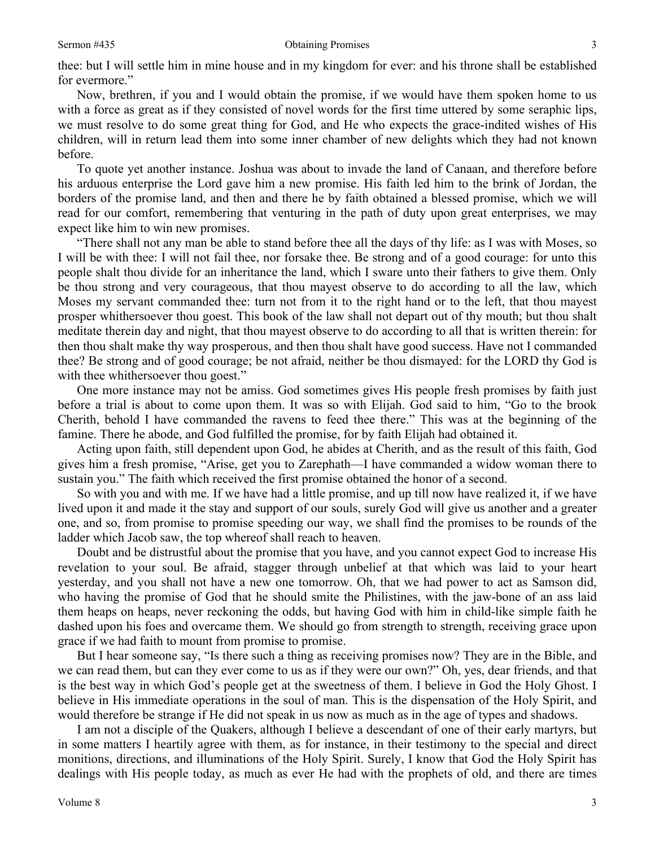thee: but I will settle him in mine house and in my kingdom for ever: and his throne shall be established for evermore."

Now, brethren, if you and I would obtain the promise, if we would have them spoken home to us with a force as great as if they consisted of novel words for the first time uttered by some seraphic lips, we must resolve to do some great thing for God, and He who expects the grace-indited wishes of His children, will in return lead them into some inner chamber of new delights which they had not known before.

To quote yet another instance. Joshua was about to invade the land of Canaan, and therefore before his arduous enterprise the Lord gave him a new promise. His faith led him to the brink of Jordan, the borders of the promise land, and then and there he by faith obtained a blessed promise, which we will read for our comfort, remembering that venturing in the path of duty upon great enterprises, we may expect like him to win new promises.

"There shall not any man be able to stand before thee all the days of thy life: as I was with Moses, so I will be with thee: I will not fail thee, nor forsake thee. Be strong and of a good courage: for unto this people shalt thou divide for an inheritance the land, which I sware unto their fathers to give them. Only be thou strong and very courageous, that thou mayest observe to do according to all the law, which Moses my servant commanded thee: turn not from it to the right hand or to the left, that thou mayest prosper whithersoever thou goest. This book of the law shall not depart out of thy mouth; but thou shalt meditate therein day and night, that thou mayest observe to do according to all that is written therein: for then thou shalt make thy way prosperous, and then thou shalt have good success. Have not I commanded thee? Be strong and of good courage; be not afraid, neither be thou dismayed: for the LORD thy God is with thee whithersoever thou goest."

One more instance may not be amiss. God sometimes gives His people fresh promises by faith just before a trial is about to come upon them. It was so with Elijah. God said to him, "Go to the brook Cherith, behold I have commanded the ravens to feed thee there." This was at the beginning of the famine. There he abode, and God fulfilled the promise, for by faith Elijah had obtained it.

Acting upon faith, still dependent upon God, he abides at Cherith, and as the result of this faith, God gives him a fresh promise, "Arise, get you to Zarephath—I have commanded a widow woman there to sustain you." The faith which received the first promise obtained the honor of a second.

So with you and with me. If we have had a little promise, and up till now have realized it, if we have lived upon it and made it the stay and support of our souls, surely God will give us another and a greater one, and so, from promise to promise speeding our way, we shall find the promises to be rounds of the ladder which Jacob saw, the top whereof shall reach to heaven.

Doubt and be distrustful about the promise that you have, and you cannot expect God to increase His revelation to your soul. Be afraid, stagger through unbelief at that which was laid to your heart yesterday, and you shall not have a new one tomorrow. Oh, that we had power to act as Samson did, who having the promise of God that he should smite the Philistines, with the jaw-bone of an ass laid them heaps on heaps, never reckoning the odds, but having God with him in child-like simple faith he dashed upon his foes and overcame them. We should go from strength to strength, receiving grace upon grace if we had faith to mount from promise to promise.

But I hear someone say, "Is there such a thing as receiving promises now? They are in the Bible, and we can read them, but can they ever come to us as if they were our own?" Oh, yes, dear friends, and that is the best way in which God's people get at the sweetness of them. I believe in God the Holy Ghost. I believe in His immediate operations in the soul of man. This is the dispensation of the Holy Spirit, and would therefore be strange if He did not speak in us now as much as in the age of types and shadows.

I am not a disciple of the Quakers, although I believe a descendant of one of their early martyrs, but in some matters I heartily agree with them, as for instance, in their testimony to the special and direct monitions, directions, and illuminations of the Holy Spirit. Surely, I know that God the Holy Spirit has dealings with His people today, as much as ever He had with the prophets of old, and there are times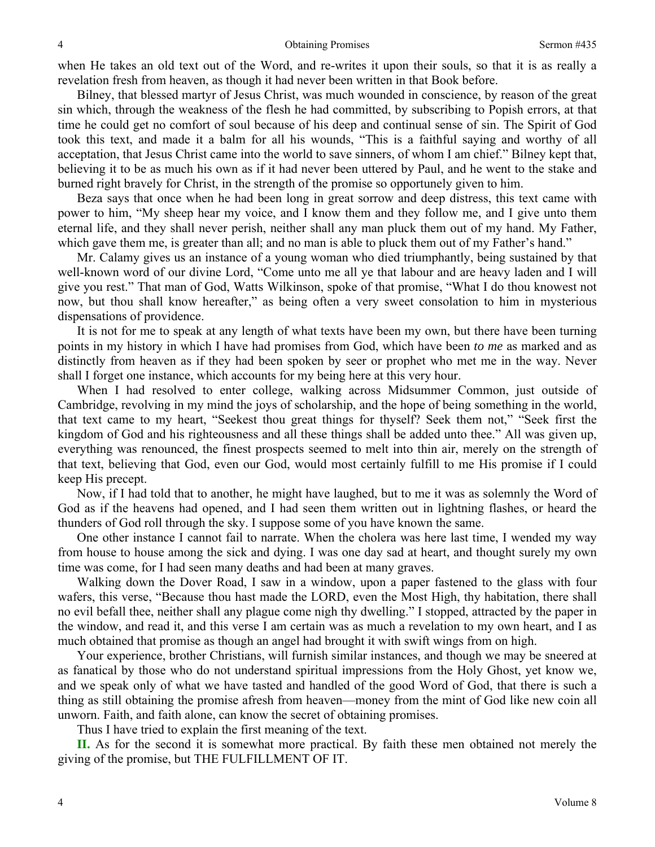when He takes an old text out of the Word, and re-writes it upon their souls, so that it is as really a revelation fresh from heaven, as though it had never been written in that Book before.

Bilney, that blessed martyr of Jesus Christ, was much wounded in conscience, by reason of the great sin which, through the weakness of the flesh he had committed, by subscribing to Popish errors, at that time he could get no comfort of soul because of his deep and continual sense of sin. The Spirit of God took this text, and made it a balm for all his wounds, "This is a faithful saying and worthy of all acceptation, that Jesus Christ came into the world to save sinners, of whom I am chief." Bilney kept that, believing it to be as much his own as if it had never been uttered by Paul, and he went to the stake and burned right bravely for Christ, in the strength of the promise so opportunely given to him.

Beza says that once when he had been long in great sorrow and deep distress, this text came with power to him, "My sheep hear my voice, and I know them and they follow me, and I give unto them eternal life, and they shall never perish, neither shall any man pluck them out of my hand. My Father, which gave them me, is greater than all; and no man is able to pluck them out of my Father's hand."

Mr. Calamy gives us an instance of a young woman who died triumphantly, being sustained by that well-known word of our divine Lord, "Come unto me all ye that labour and are heavy laden and I will give you rest." That man of God, Watts Wilkinson, spoke of that promise, "What I do thou knowest not now, but thou shall know hereafter," as being often a very sweet consolation to him in mysterious dispensations of providence.

It is not for me to speak at any length of what texts have been my own, but there have been turning points in my history in which I have had promises from God, which have been *to me* as marked and as distinctly from heaven as if they had been spoken by seer or prophet who met me in the way. Never shall I forget one instance, which accounts for my being here at this very hour.

When I had resolved to enter college, walking across Midsummer Common, just outside of Cambridge, revolving in my mind the joys of scholarship, and the hope of being something in the world, that text came to my heart, "Seekest thou great things for thyself? Seek them not," "Seek first the kingdom of God and his righteousness and all these things shall be added unto thee." All was given up, everything was renounced, the finest prospects seemed to melt into thin air, merely on the strength of that text, believing that God, even our God, would most certainly fulfill to me His promise if I could keep His precept.

Now, if I had told that to another, he might have laughed, but to me it was as solemnly the Word of God as if the heavens had opened, and I had seen them written out in lightning flashes, or heard the thunders of God roll through the sky. I suppose some of you have known the same.

One other instance I cannot fail to narrate. When the cholera was here last time, I wended my way from house to house among the sick and dying. I was one day sad at heart, and thought surely my own time was come, for I had seen many deaths and had been at many graves.

Walking down the Dover Road, I saw in a window, upon a paper fastened to the glass with four wafers, this verse, "Because thou hast made the LORD, even the Most High, thy habitation, there shall no evil befall thee, neither shall any plague come nigh thy dwelling." I stopped, attracted by the paper in the window, and read it, and this verse I am certain was as much a revelation to my own heart, and I as much obtained that promise as though an angel had brought it with swift wings from on high.

Your experience, brother Christians, will furnish similar instances, and though we may be sneered at as fanatical by those who do not understand spiritual impressions from the Holy Ghost, yet know we, and we speak only of what we have tasted and handled of the good Word of God, that there is such a thing as still obtaining the promise afresh from heaven—money from the mint of God like new coin all unworn. Faith, and faith alone, can know the secret of obtaining promises.

Thus I have tried to explain the first meaning of the text.

**II.** As for the second it is somewhat more practical. By faith these men obtained not merely the giving of the promise, but THE FULFILLMENT OF IT.

4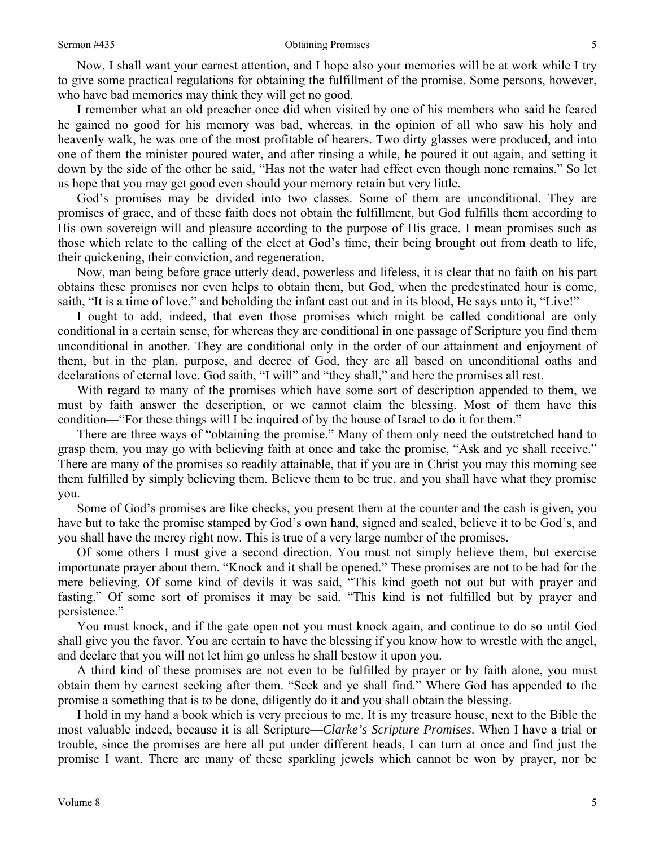Now, I shall want your earnest attention, and I hope also your memories will be at work while I try to give some practical regulations for obtaining the fulfillment of the promise. Some persons, however, who have bad memories may think they will get no good.

I remember what an old preacher once did when visited by one of his members who said he feared he gained no good for his memory was bad, whereas, in the opinion of all who saw his holy and heavenly walk, he was one of the most profitable of hearers. Two dirty glasses were produced, and into one of them the minister poured water, and after rinsing a while, he poured it out again, and setting it down by the side of the other he said, "Has not the water had effect even though none remains." So let us hope that you may get good even should your memory retain but very little.

God's promises may be divided into two classes. Some of them are unconditional. They are promises of grace, and of these faith does not obtain the fulfillment, but God fulfills them according to His own sovereign will and pleasure according to the purpose of His grace. I mean promises such as those which relate to the calling of the elect at God's time, their being brought out from death to life, their quickening, their conviction, and regeneration.

Now, man being before grace utterly dead, powerless and lifeless, it is clear that no faith on his part obtains these promises nor even helps to obtain them, but God, when the predestinated hour is come, saith, "It is a time of love," and beholding the infant cast out and in its blood, He says unto it, "Live!"

I ought to add, indeed, that even those promises which might be called conditional are only conditional in a certain sense, for whereas they are conditional in one passage of Scripture you find them unconditional in another. They are conditional only in the order of our attainment and enjoyment of them, but in the plan, purpose, and decree of God, they are all based on unconditional oaths and declarations of eternal love. God saith, "I will" and "they shall," and here the promises all rest.

With regard to many of the promises which have some sort of description appended to them, we must by faith answer the description, or we cannot claim the blessing. Most of them have this condition—"For these things will I be inquired of by the house of Israel to do it for them."

There are three ways of "obtaining the promise." Many of them only need the outstretched hand to grasp them, you may go with believing faith at once and take the promise, "Ask and ye shall receive." There are many of the promises so readily attainable, that if you are in Christ you may this morning see them fulfilled by simply believing them. Believe them to be true, and you shall have what they promise you.

Some of God's promises are like checks, you present them at the counter and the cash is given, you have but to take the promise stamped by God's own hand, signed and sealed, believe it to be God's, and you shall have the mercy right now. This is true of a very large number of the promises.

Of some others I must give a second direction. You must not simply believe them, but exercise importunate prayer about them. "Knock and it shall be opened." These promises are not to be had for the mere believing. Of some kind of devils it was said, "This kind goeth not out but with prayer and fasting." Of some sort of promises it may be said, "This kind is not fulfilled but by prayer and persistence."

You must knock, and if the gate open not you must knock again, and continue to do so until God shall give you the favor. You are certain to have the blessing if you know how to wrestle with the angel, and declare that you will not let him go unless he shall bestow it upon you.

A third kind of these promises are not even to be fulfilled by prayer or by faith alone, you must obtain them by earnest seeking after them. "Seek and ye shall find." Where God has appended to the promise a something that is to be done, diligently do it and you shall obtain the blessing.

I hold in my hand a book which is very precious to me. It is my treasure house, next to the Bible the most valuable indeed, because it is all Scripture—*Clarke's Scripture Promises*. When I have a trial or trouble, since the promises are here all put under different heads, I can turn at once and find just the promise I want. There are many of these sparkling jewels which cannot be won by prayer, nor be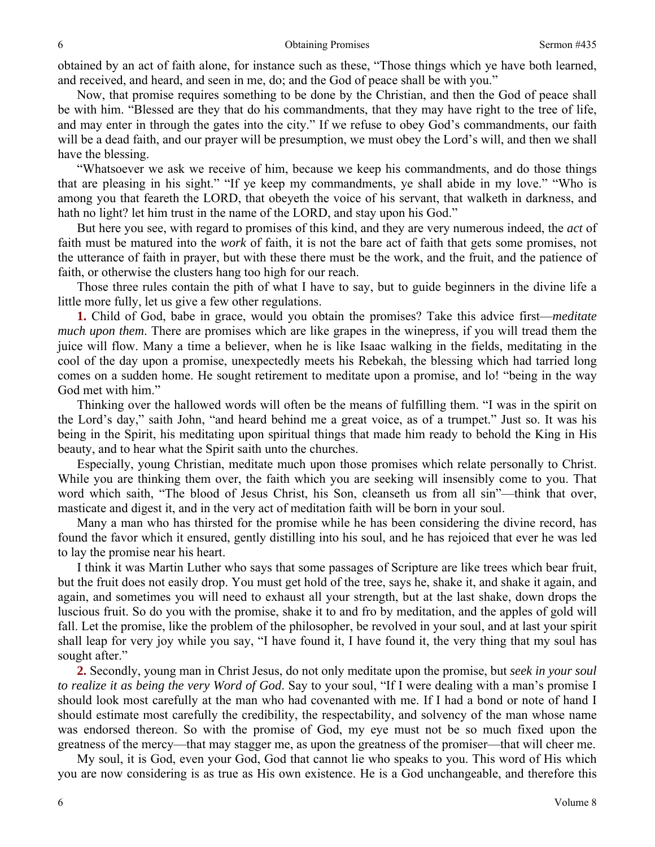obtained by an act of faith alone, for instance such as these, "Those things which ye have both learned, and received, and heard, and seen in me, do; and the God of peace shall be with you."

Now, that promise requires something to be done by the Christian, and then the God of peace shall be with him. "Blessed are they that do his commandments, that they may have right to the tree of life, and may enter in through the gates into the city." If we refuse to obey God's commandments, our faith will be a dead faith, and our prayer will be presumption, we must obey the Lord's will, and then we shall have the blessing.

"Whatsoever we ask we receive of him, because we keep his commandments, and do those things that are pleasing in his sight." "If ye keep my commandments, ye shall abide in my love." "Who is among you that feareth the LORD, that obeyeth the voice of his servant, that walketh in darkness, and hath no light? let him trust in the name of the LORD, and stay upon his God."

But here you see, with regard to promises of this kind, and they are very numerous indeed, the *act* of faith must be matured into the *work* of faith, it is not the bare act of faith that gets some promises, not the utterance of faith in prayer, but with these there must be the work, and the fruit, and the patience of faith, or otherwise the clusters hang too high for our reach.

Those three rules contain the pith of what I have to say, but to guide beginners in the divine life a little more fully, let us give a few other regulations.

**1.** Child of God, babe in grace, would you obtain the promises? Take this advice first—*meditate much upon them*. There are promises which are like grapes in the winepress, if you will tread them the juice will flow. Many a time a believer, when he is like Isaac walking in the fields, meditating in the cool of the day upon a promise, unexpectedly meets his Rebekah, the blessing which had tarried long comes on a sudden home. He sought retirement to meditate upon a promise, and lo! "being in the way God met with him."

Thinking over the hallowed words will often be the means of fulfilling them. "I was in the spirit on the Lord's day," saith John, "and heard behind me a great voice, as of a trumpet." Just so. It was his being in the Spirit, his meditating upon spiritual things that made him ready to behold the King in His beauty, and to hear what the Spirit saith unto the churches.

Especially, young Christian, meditate much upon those promises which relate personally to Christ. While you are thinking them over, the faith which you are seeking will insensibly come to you. That word which saith, "The blood of Jesus Christ, his Son, cleanseth us from all sin"—think that over, masticate and digest it, and in the very act of meditation faith will be born in your soul.

Many a man who has thirsted for the promise while he has been considering the divine record, has found the favor which it ensured, gently distilling into his soul, and he has rejoiced that ever he was led to lay the promise near his heart.

I think it was Martin Luther who says that some passages of Scripture are like trees which bear fruit, but the fruit does not easily drop. You must get hold of the tree, says he, shake it, and shake it again, and again, and sometimes you will need to exhaust all your strength, but at the last shake, down drops the luscious fruit. So do you with the promise, shake it to and fro by meditation, and the apples of gold will fall. Let the promise, like the problem of the philosopher, be revolved in your soul, and at last your spirit shall leap for very joy while you say, "I have found it, I have found it, the very thing that my soul has sought after."

**2.** Secondly, young man in Christ Jesus, do not only meditate upon the promise, but *seek in your soul to realize it as being the very Word of God*. Say to your soul, "If I were dealing with a man's promise I should look most carefully at the man who had covenanted with me. If I had a bond or note of hand I should estimate most carefully the credibility, the respectability, and solvency of the man whose name was endorsed thereon. So with the promise of God, my eye must not be so much fixed upon the greatness of the mercy—that may stagger me, as upon the greatness of the promiser—that will cheer me.

My soul, it is God, even your God, God that cannot lie who speaks to you. This word of His which you are now considering is as true as His own existence. He is a God unchangeable, and therefore this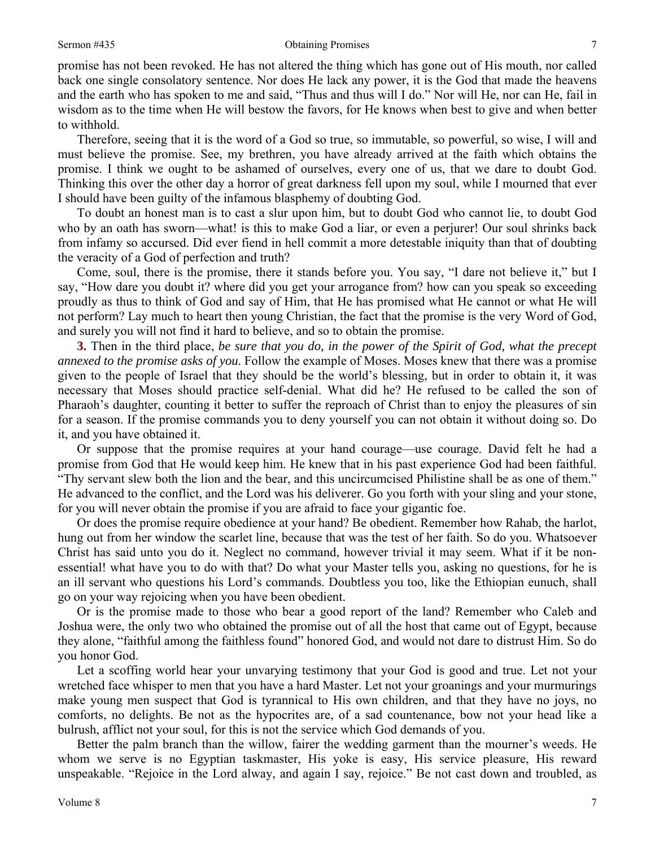promise has not been revoked. He has not altered the thing which has gone out of His mouth, nor called back one single consolatory sentence. Nor does He lack any power, it is the God that made the heavens and the earth who has spoken to me and said, "Thus and thus will I do." Nor will He, nor can He, fail in wisdom as to the time when He will bestow the favors, for He knows when best to give and when better to withhold.

Therefore, seeing that it is the word of a God so true, so immutable, so powerful, so wise, I will and must believe the promise. See, my brethren, you have already arrived at the faith which obtains the promise. I think we ought to be ashamed of ourselves, every one of us, that we dare to doubt God. Thinking this over the other day a horror of great darkness fell upon my soul, while I mourned that ever I should have been guilty of the infamous blasphemy of doubting God.

To doubt an honest man is to cast a slur upon him, but to doubt God who cannot lie, to doubt God who by an oath has sworn—what! is this to make God a liar, or even a perjurer! Our soul shrinks back from infamy so accursed. Did ever fiend in hell commit a more detestable iniquity than that of doubting the veracity of a God of perfection and truth?

Come, soul, there is the promise, there it stands before you. You say, "I dare not believe it," but I say, "How dare you doubt it? where did you get your arrogance from? how can you speak so exceeding proudly as thus to think of God and say of Him, that He has promised what He cannot or what He will not perform? Lay much to heart then young Christian, the fact that the promise is the very Word of God, and surely you will not find it hard to believe, and so to obtain the promise.

**3.** Then in the third place, *be sure that you do, in the power of the Spirit of God, what the precept annexed to the promise asks of you*. Follow the example of Moses. Moses knew that there was a promise given to the people of Israel that they should be the world's blessing, but in order to obtain it, it was necessary that Moses should practice self-denial. What did he? He refused to be called the son of Pharaoh's daughter, counting it better to suffer the reproach of Christ than to enjoy the pleasures of sin for a season. If the promise commands you to deny yourself you can not obtain it without doing so. Do it, and you have obtained it.

Or suppose that the promise requires at your hand courage—use courage. David felt he had a promise from God that He would keep him. He knew that in his past experience God had been faithful. "Thy servant slew both the lion and the bear, and this uncircumcised Philistine shall be as one of them." He advanced to the conflict, and the Lord was his deliverer. Go you forth with your sling and your stone, for you will never obtain the promise if you are afraid to face your gigantic foe.

Or does the promise require obedience at your hand? Be obedient. Remember how Rahab, the harlot, hung out from her window the scarlet line, because that was the test of her faith. So do you. Whatsoever Christ has said unto you do it. Neglect no command, however trivial it may seem. What if it be nonessential! what have you to do with that? Do what your Master tells you, asking no questions, for he is an ill servant who questions his Lord's commands. Doubtless you too, like the Ethiopian eunuch, shall go on your way rejoicing when you have been obedient.

Or is the promise made to those who bear a good report of the land? Remember who Caleb and Joshua were, the only two who obtained the promise out of all the host that came out of Egypt, because they alone, "faithful among the faithless found" honored God, and would not dare to distrust Him. So do you honor God.

Let a scoffing world hear your unvarying testimony that your God is good and true. Let not your wretched face whisper to men that you have a hard Master. Let not your groanings and your murmurings make young men suspect that God is tyrannical to His own children, and that they have no joys, no comforts, no delights. Be not as the hypocrites are, of a sad countenance, bow not your head like a bulrush, afflict not your soul, for this is not the service which God demands of you.

Better the palm branch than the willow, fairer the wedding garment than the mourner's weeds. He whom we serve is no Egyptian taskmaster, His yoke is easy, His service pleasure, His reward unspeakable. "Rejoice in the Lord alway, and again I say, rejoice." Be not cast down and troubled, as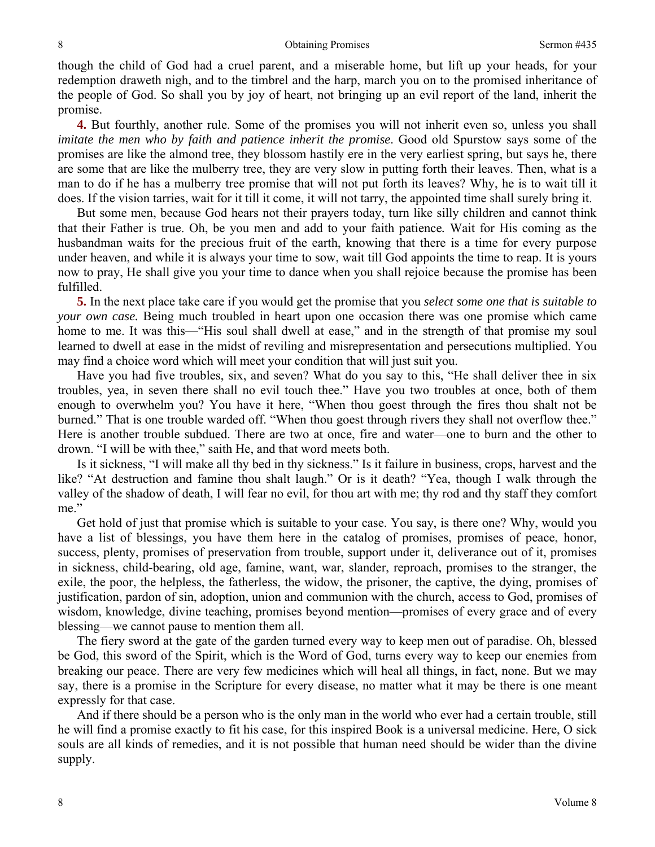#### Obtaining Promises Sermon #435

though the child of God had a cruel parent, and a miserable home, but lift up your heads, for your redemption draweth nigh, and to the timbrel and the harp, march you on to the promised inheritance of the people of God. So shall you by joy of heart, not bringing up an evil report of the land, inherit the promise.

**4.** But fourthly, another rule. Some of the promises you will not inherit even so, unless you shall *imitate the men who by faith and patience inherit the promise*. Good old Spurstow says some of the promises are like the almond tree, they blossom hastily ere in the very earliest spring, but says he, there are some that are like the mulberry tree, they are very slow in putting forth their leaves. Then, what is a man to do if he has a mulberry tree promise that will not put forth its leaves? Why, he is to wait till it does. If the vision tarries, wait for it till it come, it will not tarry, the appointed time shall surely bring it.

But some men, because God hears not their prayers today, turn like silly children and cannot think that their Father is true. Oh, be you men and add to your faith patience*.* Wait for His coming as the husbandman waits for the precious fruit of the earth, knowing that there is a time for every purpose under heaven, and while it is always your time to sow, wait till God appoints the time to reap. It is yours now to pray, He shall give you your time to dance when you shall rejoice because the promise has been fulfilled.

**5.** In the next place take care if you would get the promise that you *select some one that is suitable to your own case.* Being much troubled in heart upon one occasion there was one promise which came home to me. It was this—"His soul shall dwell at ease," and in the strength of that promise my soul learned to dwell at ease in the midst of reviling and misrepresentation and persecutions multiplied. You may find a choice word which will meet your condition that will just suit you.

Have you had five troubles, six, and seven? What do you say to this, "He shall deliver thee in six troubles, yea, in seven there shall no evil touch thee." Have you two troubles at once, both of them enough to overwhelm you? You have it here, "When thou goest through the fires thou shalt not be burned." That is one trouble warded off. "When thou goest through rivers they shall not overflow thee." Here is another trouble subdued. There are two at once, fire and water—one to burn and the other to drown. "I will be with thee," saith He, and that word meets both.

Is it sickness, "I will make all thy bed in thy sickness." Is it failure in business, crops, harvest and the like? "At destruction and famine thou shalt laugh." Or is it death? "Yea, though I walk through the valley of the shadow of death, I will fear no evil, for thou art with me; thy rod and thy staff they comfort me."

Get hold of just that promise which is suitable to your case. You say, is there one? Why, would you have a list of blessings, you have them here in the catalog of promises, promises of peace, honor, success, plenty, promises of preservation from trouble, support under it, deliverance out of it, promises in sickness, child-bearing, old age, famine, want, war, slander, reproach, promises to the stranger, the exile, the poor, the helpless, the fatherless, the widow, the prisoner, the captive, the dying, promises of justification, pardon of sin, adoption, union and communion with the church, access to God, promises of wisdom, knowledge, divine teaching, promises beyond mention—promises of every grace and of every blessing—we cannot pause to mention them all.

The fiery sword at the gate of the garden turned every way to keep men out of paradise. Oh, blessed be God, this sword of the Spirit, which is the Word of God, turns every way to keep our enemies from breaking our peace. There are very few medicines which will heal all things, in fact, none. But we may say, there is a promise in the Scripture for every disease, no matter what it may be there is one meant expressly for that case.

And if there should be a person who is the only man in the world who ever had a certain trouble, still he will find a promise exactly to fit his case, for this inspired Book is a universal medicine. Here, O sick souls are all kinds of remedies, and it is not possible that human need should be wider than the divine supply.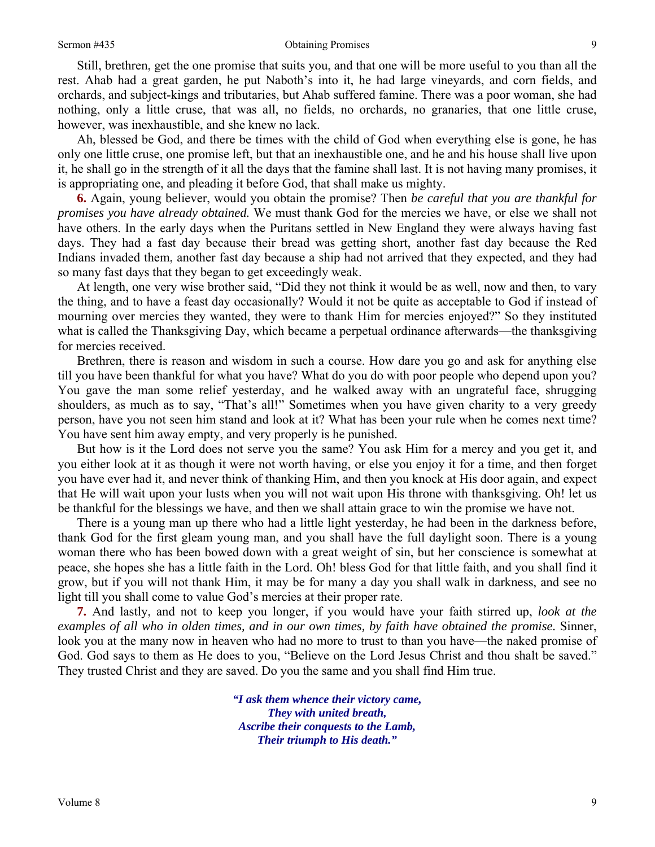#### Sermon #435 Obtaining Promises

Still, brethren, get the one promise that suits you, and that one will be more useful to you than all the rest. Ahab had a great garden, he put Naboth's into it, he had large vineyards, and corn fields, and orchards, and subject-kings and tributaries, but Ahab suffered famine. There was a poor woman, she had nothing, only a little cruse, that was all, no fields, no orchards, no granaries, that one little cruse, however, was inexhaustible, and she knew no lack.

Ah, blessed be God, and there be times with the child of God when everything else is gone, he has only one little cruse, one promise left, but that an inexhaustible one, and he and his house shall live upon it, he shall go in the strength of it all the days that the famine shall last. It is not having many promises, it is appropriating one, and pleading it before God, that shall make us mighty.

**6.** Again, young believer, would you obtain the promise? Then *be careful that you are thankful for promises you have already obtained.* We must thank God for the mercies we have, or else we shall not have others. In the early days when the Puritans settled in New England they were always having fast days. They had a fast day because their bread was getting short, another fast day because the Red Indians invaded them, another fast day because a ship had not arrived that they expected, and they had so many fast days that they began to get exceedingly weak.

At length, one very wise brother said, "Did they not think it would be as well, now and then, to vary the thing, and to have a feast day occasionally? Would it not be quite as acceptable to God if instead of mourning over mercies they wanted, they were to thank Him for mercies enjoyed?" So they instituted what is called the Thanksgiving Day, which became a perpetual ordinance afterwards—the thanksgiving for mercies received.

Brethren, there is reason and wisdom in such a course. How dare you go and ask for anything else till you have been thankful for what you have? What do you do with poor people who depend upon you? You gave the man some relief yesterday, and he walked away with an ungrateful face, shrugging shoulders, as much as to say, "That's all!" Sometimes when you have given charity to a very greedy person, have you not seen him stand and look at it? What has been your rule when he comes next time? You have sent him away empty, and very properly is he punished.

But how is it the Lord does not serve you the same? You ask Him for a mercy and you get it, and you either look at it as though it were not worth having, or else you enjoy it for a time, and then forget you have ever had it, and never think of thanking Him, and then you knock at His door again, and expect that He will wait upon your lusts when you will not wait upon His throne with thanksgiving. Oh! let us be thankful for the blessings we have, and then we shall attain grace to win the promise we have not.

There is a young man up there who had a little light yesterday, he had been in the darkness before, thank God for the first gleam young man, and you shall have the full daylight soon. There is a young woman there who has been bowed down with a great weight of sin, but her conscience is somewhat at peace, she hopes she has a little faith in the Lord. Oh! bless God for that little faith, and you shall find it grow, but if you will not thank Him, it may be for many a day you shall walk in darkness, and see no light till you shall come to value God's mercies at their proper rate.

**7.** And lastly, and not to keep you longer, if you would have your faith stirred up, *look at the examples of all who in olden times, and in our own times, by faith have obtained the promise.* Sinner, look you at the many now in heaven who had no more to trust to than you have—the naked promise of God. God says to them as He does to you, "Believe on the Lord Jesus Christ and thou shalt be saved." They trusted Christ and they are saved. Do you the same and you shall find Him true.

> *"I ask them whence their victory came, They with united breath, Ascribe their conquests to the Lamb, Their triumph to His death."*